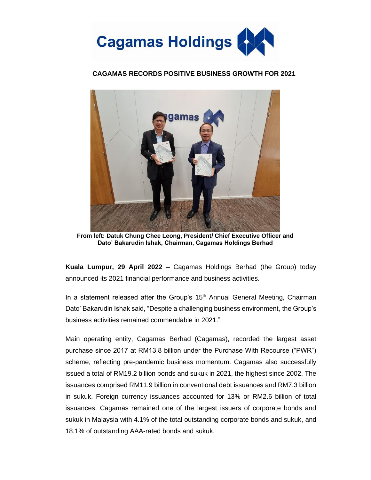

## **CAGAMAS RECORDS POSITIVE BUSINESS GROWTH FOR 2021**



**From left: Datuk Chung Chee Leong, President/ Chief Executive Officer and Dato' Bakarudin Ishak, Chairman, Cagamas Holdings Berhad**

**Kuala Lumpur, 29 April 2022 –** Cagamas Holdings Berhad (the Group) today announced its 2021 financial performance and business activities.

In a statement released after the Group's  $15<sup>th</sup>$  Annual General Meeting, Chairman Dato' Bakarudin Ishak said, "Despite a challenging business environment, the Group's business activities remained commendable in 2021."

Main operating entity, Cagamas Berhad (Cagamas), recorded the largest asset purchase since 2017 at RM13.8 billion under the Purchase With Recourse ("PWR") scheme, reflecting pre-pandemic business momentum. Cagamas also successfully issued a total of RM19.2 billion bonds and sukuk in 2021, the highest since 2002. The issuances comprised RM11.9 billion in conventional debt issuances and RM7.3 billion in sukuk. Foreign currency issuances accounted for 13% or RM2.6 billion of total issuances. Cagamas remained one of the largest issuers of corporate bonds and sukuk in Malaysia with 4.1% of the total outstanding corporate bonds and sukuk, and 18.1% of outstanding AAA-rated bonds and sukuk.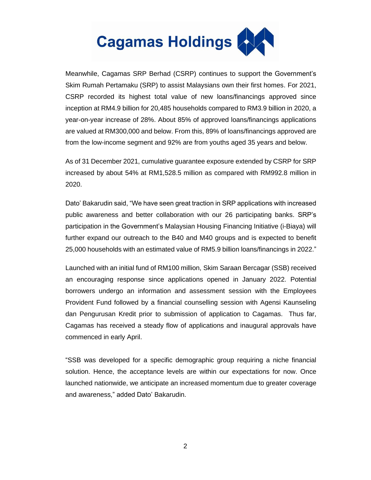

Meanwhile, Cagamas SRP Berhad (CSRP) continues to support the Government's Skim Rumah Pertamaku (SRP) to assist Malaysians own their first homes. For 2021, CSRP recorded its highest total value of new loans/financings approved since inception at RM4.9 billion for 20,485 households compared to RM3.9 billion in 2020, a year-on-year increase of 28%. About 85% of approved loans/financings applications are valued at RM300,000 and below. From this, 89% of loans/financings approved are from the low-income segment and 92% are from youths aged 35 years and below.

As of 31 December 2021, cumulative guarantee exposure extended by CSRP for SRP increased by about 54% at RM1,528.5 million as compared with RM992.8 million in 2020.

Dato' Bakarudin said, "We have seen great traction in SRP applications with increased public awareness and better collaboration with our 26 participating banks. SRP's participation in the Government's Malaysian Housing Financing Initiative (i-Biaya) will further expand our outreach to the B40 and M40 groups and is expected to benefit 25,000 households with an estimated value of RM5.9 billion loans/financings in 2022."

Launched with an initial fund of RM100 million, Skim Saraan Bercagar (SSB) received an encouraging response since applications opened in January 2022. Potential borrowers undergo an information and assessment session with the Employees Provident Fund followed by a financial counselling session with Agensi Kaunseling dan Pengurusan Kredit prior to submission of application to Cagamas. Thus far, Cagamas has received a steady flow of applications and inaugural approvals have commenced in early April.

"SSB was developed for a specific demographic group requiring a niche financial solution. Hence, the acceptance levels are within our expectations for now. Once launched nationwide, we anticipate an increased momentum due to greater coverage and awareness," added Dato' Bakarudin.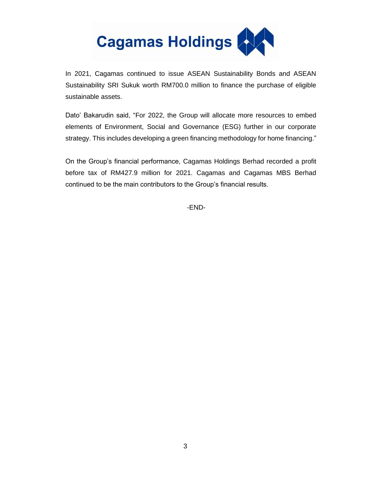

In 2021, Cagamas continued to issue ASEAN Sustainability Bonds and ASEAN Sustainability SRI Sukuk worth RM700.0 million to finance the purchase of eligible sustainable assets.

Dato' Bakarudin said, "For 2022, the Group will allocate more resources to embed elements of Environment, Social and Governance (ESG) further in our corporate strategy. This includes developing a green financing methodology for home financing."

On the Group's financial performance, Cagamas Holdings Berhad recorded a profit before tax of RM427.9 million for 2021. Cagamas and Cagamas MBS Berhad continued to be the main contributors to the Group's financial results.

-END-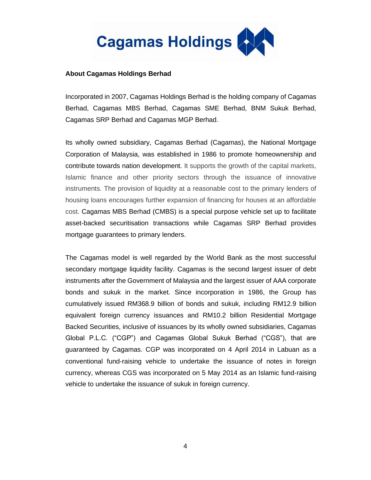

## **About Cagamas Holdings Berhad**

Incorporated in 2007, Cagamas Holdings Berhad is the holding company of Cagamas Berhad, Cagamas MBS Berhad, Cagamas SME Berhad, BNM Sukuk Berhad, Cagamas SRP Berhad and Cagamas MGP Berhad.

Its wholly owned subsidiary, Cagamas Berhad (Cagamas), the National Mortgage Corporation of Malaysia, was established in 1986 to promote homeownership and contribute towards nation development. It supports the growth of the capital markets, Islamic finance and other priority sectors through the issuance of innovative instruments. The provision of liquidity at a reasonable cost to the primary lenders of housing loans encourages further expansion of financing for houses at an affordable cost. Cagamas MBS Berhad (CMBS) is a special purpose vehicle set up to facilitate asset-backed securitisation transactions while Cagamas SRP Berhad provides mortgage guarantees to primary lenders.

The Cagamas model is well regarded by the World Bank as the most successful secondary mortgage liquidity facility. Cagamas is the second largest issuer of debt instruments after the Government of Malaysia and the largest issuer of AAA corporate bonds and sukuk in the market. Since incorporation in 1986, the Group has cumulatively issued RM368.9 billion of bonds and sukuk, including RM12.9 billion equivalent foreign currency issuances and RM10.2 billion Residential Mortgage Backed Securities, inclusive of issuances by its wholly owned subsidiaries, Cagamas Global P.L.C. ("CGP") and Cagamas Global Sukuk Berhad ("CGS"), that are guaranteed by Cagamas. CGP was incorporated on 4 April 2014 in Labuan as a conventional fund-raising vehicle to undertake the issuance of notes in foreign currency, whereas CGS was incorporated on 5 May 2014 as an Islamic fund-raising vehicle to undertake the issuance of sukuk in foreign currency.